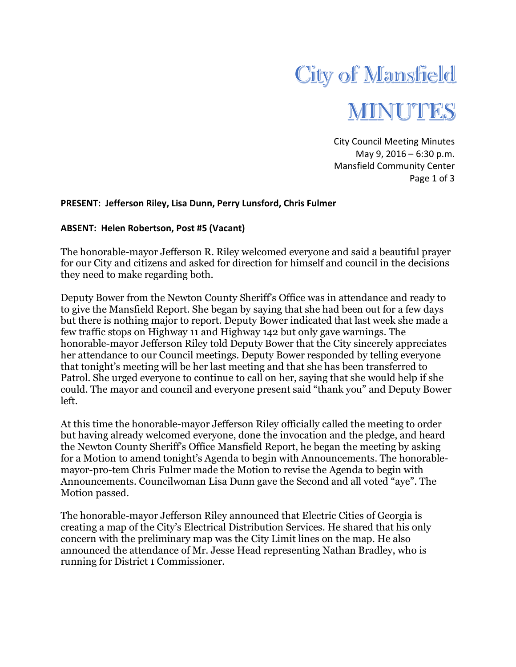

City Council Meeting Minutes May 9, 2016 – 6:30 p.m. Mansfield Community Center Page 1 of 3

## **PRESENT: Jefferson Riley, Lisa Dunn, Perry Lunsford, Chris Fulmer**

## **ABSENT: Helen Robertson, Post #5 (Vacant)**

The honorable-mayor Jefferson R. Riley welcomed everyone and said a beautiful prayer for our City and citizens and asked for direction for himself and council in the decisions they need to make regarding both.

Deputy Bower from the Newton County Sheriff's Office was in attendance and ready to to give the Mansfield Report. She began by saying that she had been out for a few days but there is nothing major to report. Deputy Bower indicated that last week she made a few traffic stops on Highway 11 and Highway 142 but only gave warnings. The honorable-mayor Jefferson Riley told Deputy Bower that the City sincerely appreciates her attendance to our Council meetings. Deputy Bower responded by telling everyone that tonight's meeting will be her last meeting and that she has been transferred to Patrol. She urged everyone to continue to call on her, saying that she would help if she could. The mayor and council and everyone present said "thank you" and Deputy Bower left.

At this time the honorable-mayor Jefferson Riley officially called the meeting to order but having already welcomed everyone, done the invocation and the pledge, and heard the Newton County Sheriff's Office Mansfield Report, he began the meeting by asking for a Motion to amend tonight's Agenda to begin with Announcements. The honorablemayor-pro-tem Chris Fulmer made the Motion to revise the Agenda to begin with Announcements. Councilwoman Lisa Dunn gave the Second and all voted "aye". The Motion passed.

The honorable-mayor Jefferson Riley announced that Electric Cities of Georgia is creating a map of the City's Electrical Distribution Services. He shared that his only concern with the preliminary map was the City Limit lines on the map. He also announced the attendance of Mr. Jesse Head representing Nathan Bradley, who is running for District 1 Commissioner.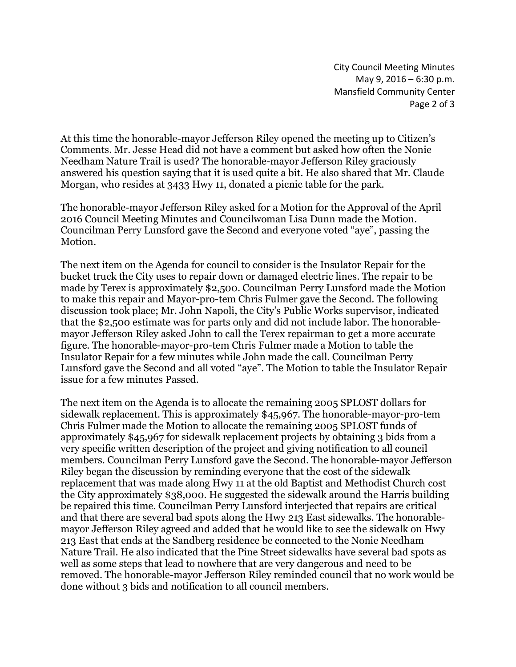City Council Meeting Minutes May 9, 2016 – 6:30 p.m. Mansfield Community Center Page 2 of 3

At this time the honorable-mayor Jefferson Riley opened the meeting up to Citizen's Comments. Mr. Jesse Head did not have a comment but asked how often the Nonie Needham Nature Trail is used? The honorable-mayor Jefferson Riley graciously answered his question saying that it is used quite a bit. He also shared that Mr. Claude Morgan, who resides at 3433 Hwy 11, donated a picnic table for the park.

The honorable-mayor Jefferson Riley asked for a Motion for the Approval of the April 2016 Council Meeting Minutes and Councilwoman Lisa Dunn made the Motion. Councilman Perry Lunsford gave the Second and everyone voted "aye", passing the Motion.

The next item on the Agenda for council to consider is the Insulator Repair for the bucket truck the City uses to repair down or damaged electric lines. The repair to be made by Terex is approximately \$2,500. Councilman Perry Lunsford made the Motion to make this repair and Mayor-pro-tem Chris Fulmer gave the Second. The following discussion took place; Mr. John Napoli, the City's Public Works supervisor, indicated that the \$2,500 estimate was for parts only and did not include labor. The honorablemayor Jefferson Riley asked John to call the Terex repairman to get a more accurate figure. The honorable-mayor-pro-tem Chris Fulmer made a Motion to table the Insulator Repair for a few minutes while John made the call. Councilman Perry Lunsford gave the Second and all voted "aye". The Motion to table the Insulator Repair issue for a few minutes Passed.

The next item on the Agenda is to allocate the remaining 2005 SPLOST dollars for sidewalk replacement. This is approximately \$45,967. The honorable-mayor-pro-tem Chris Fulmer made the Motion to allocate the remaining 2005 SPLOST funds of approximately \$45,967 for sidewalk replacement projects by obtaining 3 bids from a very specific written description of the project and giving notification to all council members. Councilman Perry Lunsford gave the Second. The honorable-mayor Jefferson Riley began the discussion by reminding everyone that the cost of the sidewalk replacement that was made along Hwy 11 at the old Baptist and Methodist Church cost the City approximately \$38,000. He suggested the sidewalk around the Harris building be repaired this time. Councilman Perry Lunsford interjected that repairs are critical and that there are several bad spots along the Hwy 213 East sidewalks. The honorablemayor Jefferson Riley agreed and added that he would like to see the sidewalk on Hwy 213 East that ends at the Sandberg residence be connected to the Nonie Needham Nature Trail. He also indicated that the Pine Street sidewalks have several bad spots as well as some steps that lead to nowhere that are very dangerous and need to be removed. The honorable-mayor Jefferson Riley reminded council that no work would be done without 3 bids and notification to all council members.